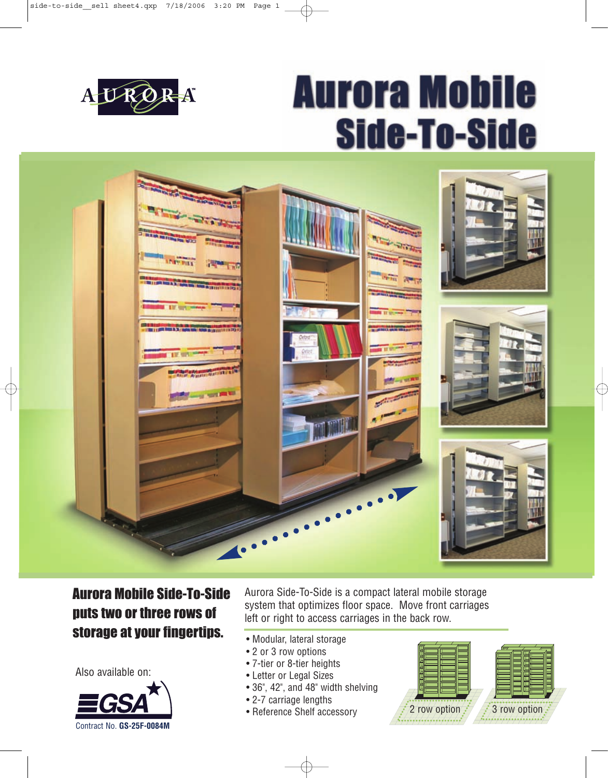

# **Aurora Mobile Side-To-Side**



### Aurora Mobile Side-To-Side puts two or three rows of storage at your fingertips.

Also available on:



Aurora Side-To-Side is a compact lateral mobile storage system that optimizes floor space. Move front carriages left or right to access carriages in the back row.

- Modular, lateral storage
- 2 or 3 row options
- 7-tier or 8-tier heights
- Letter or Legal Sizes
- 36", 42", and 48" width shelving
- 2-7 carriage lengths
- Reference Shelf accessory